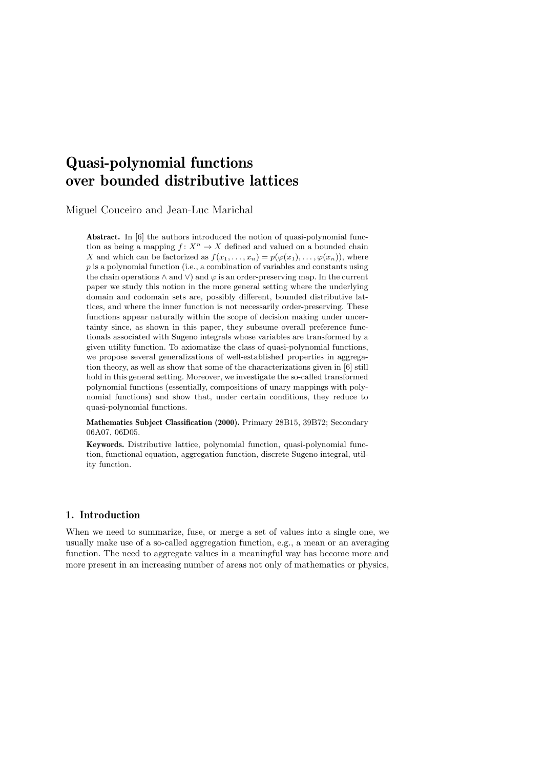# Quasi-polynomial functions over bounded distributive lattices

Miguel Couceiro and Jean-Luc Marichal

Abstract. In [6] the authors introduced the notion of quasi-polynomial function as being a mapping  $f: X^n \to X$  defined and valued on a bounded chain X and which can be factorized as  $f(x_1, \ldots, x_n) = p(\varphi(x_1), \ldots, \varphi(x_n))$ , where  $p$  is a polynomial function (i.e., a combination of variables and constants using the chain operations  $\wedge$  and  $\vee$ ) and  $\varphi$  is an order-preserving map. In the current paper we study this notion in the more general setting where the underlying domain and codomain sets are, possibly different, bounded distributive lattices, and where the inner function is not necessarily order-preserving. These functions appear naturally within the scope of decision making under uncertainty since, as shown in this paper, they subsume overall preference functionals associated with Sugeno integrals whose variables are transformed by a given utility function. To axiomatize the class of quasi-polynomial functions, we propose several generalizations of well-established properties in aggregation theory, as well as show that some of the characterizations given in [6] still hold in this general setting. Moreover, we investigate the so-called transformed polynomial functions (essentially, compositions of unary mappings with polynomial functions) and show that, under certain conditions, they reduce to quasi-polynomial functions.

Mathematics Subject Classification (2000). Primary 28B15, 39B72; Secondary 06A07, 06D05.

Keywords. Distributive lattice, polynomial function, quasi-polynomial function, functional equation, aggregation function, discrete Sugeno integral, utility function.

# 1. Introduction

When we need to summarize, fuse, or merge a set of values into a single one, we usually make use of a so-called aggregation function, e.g., a mean or an averaging function. The need to aggregate values in a meaningful way has become more and more present in an increasing number of areas not only of mathematics or physics,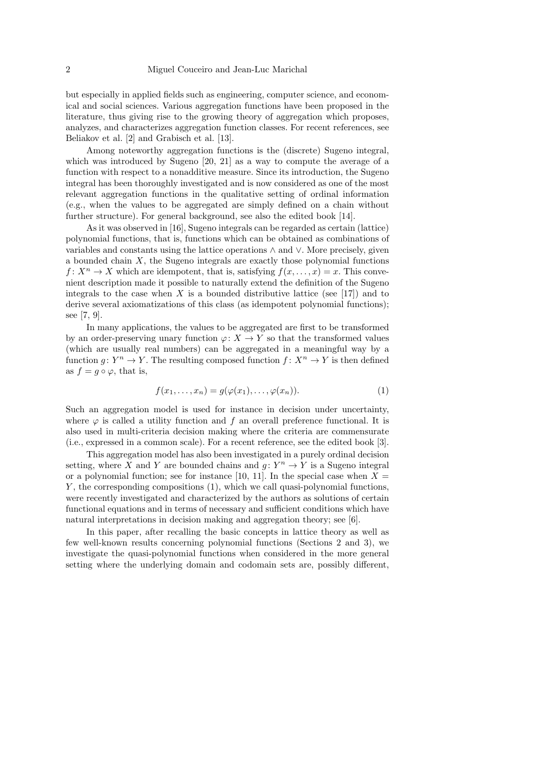but especially in applied fields such as engineering, computer science, and economical and social sciences. Various aggregation functions have been proposed in the literature, thus giving rise to the growing theory of aggregation which proposes, analyzes, and characterizes aggregation function classes. For recent references, see Beliakov et al. [2] and Grabisch et al. [13].

Among noteworthy aggregation functions is the (discrete) Sugeno integral, which was introduced by Sugeno [20, 21] as a way to compute the average of a function with respect to a nonadditive measure. Since its introduction, the Sugeno integral has been thoroughly investigated and is now considered as one of the most relevant aggregation functions in the qualitative setting of ordinal information (e.g., when the values to be aggregated are simply defined on a chain without further structure). For general background, see also the edited book [14].

As it was observed in [16], Sugeno integrals can be regarded as certain (lattice) polynomial functions, that is, functions which can be obtained as combinations of variables and constants using the lattice operations ∧ and ∨. More precisely, given a bounded chain X, the Sugeno integrals are exactly those polynomial functions  $f: X^n \to X$  which are idempotent, that is, satisfying  $f(x, \ldots, x) = x$ . This convenient description made it possible to naturally extend the definition of the Sugeno integrals to the case when  $X$  is a bounded distributive lattice (see [17]) and to derive several axiomatizations of this class (as idempotent polynomial functions); see [7, 9].

In many applications, the values to be aggregated are first to be transformed by an order-preserving unary function  $\varphi: X \to Y$  so that the transformed values (which are usually real numbers) can be aggregated in a meaningful way by a function  $g: Y^n \to Y$ . The resulting composed function  $f: X^n \to Y$  is then defined as  $f = g \circ \varphi$ , that is,

$$
f(x_1, \ldots, x_n) = g(\varphi(x_1), \ldots, \varphi(x_n)).
$$
\n<sup>(1)</sup>

Such an aggregation model is used for instance in decision under uncertainty, where  $\varphi$  is called a utility function and f an overall preference functional. It is also used in multi-criteria decision making where the criteria are commensurate (i.e., expressed in a common scale). For a recent reference, see the edited book [3].

This aggregation model has also been investigated in a purely ordinal decision setting, where X and Y are bounded chains and  $g: Y^n \to Y$  is a Sugeno integral or a polynomial function; see for instance [10, 11]. In the special case when  $X =$ Y, the corresponding compositions (1), which we call quasi-polynomial functions, were recently investigated and characterized by the authors as solutions of certain functional equations and in terms of necessary and sufficient conditions which have natural interpretations in decision making and aggregation theory; see [6].

In this paper, after recalling the basic concepts in lattice theory as well as few well-known results concerning polynomial functions (Sections 2 and 3), we investigate the quasi-polynomial functions when considered in the more general setting where the underlying domain and codomain sets are, possibly different,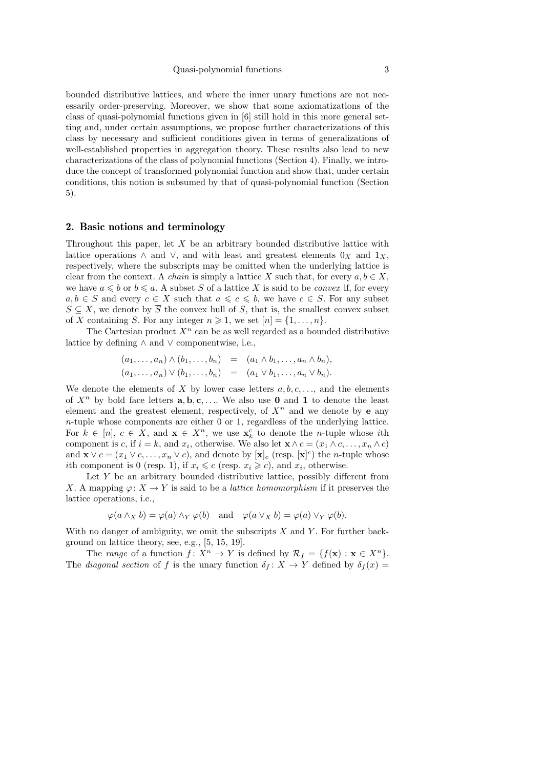bounded distributive lattices, and where the inner unary functions are not necessarily order-preserving. Moreover, we show that some axiomatizations of the class of quasi-polynomial functions given in [6] still hold in this more general setting and, under certain assumptions, we propose further characterizations of this class by necessary and sufficient conditions given in terms of generalizations of well-established properties in aggregation theory. These results also lead to new characterizations of the class of polynomial functions (Section 4). Finally, we introduce the concept of transformed polynomial function and show that, under certain conditions, this notion is subsumed by that of quasi-polynomial function (Section 5).

## 2. Basic notions and terminology

Throughout this paper, let  $X$  be an arbitrary bounded distributive lattice with lattice operations ∧ and ∨, and with least and greatest elements  $0<sub>X</sub>$  and  $1<sub>X</sub>$ , respectively, where the subscripts may be omitted when the underlying lattice is clear from the context. A *chain* is simply a lattice X such that, for every  $a, b \in X$ , we have  $a \leq b$  or  $b \leq a$ . A subset S of a lattice X is said to be *convex* if, for every  $a, b \in S$  and every  $c \in X$  such that  $a \leqslant c \leqslant b$ , we have  $c \in S$ . For any subset  $S \subseteq X$ , we denote by  $\overline{S}$  the convex hull of S, that is, the smallest convex subset of X containing S. For any integer  $n \geq 1$ , we set  $[n] = \{1, \ldots, n\}$ .

The Cartesian product  $X<sup>n</sup>$  can be as well regarded as a bounded distributive lattice by defining ∧ and ∨ componentwise, i.e.,

$$
(a_1,\ldots,a_n) \wedge (b_1,\ldots,b_n) = (a_1 \wedge b_1,\ldots,a_n \wedge b_n),
$$
  

$$
(a_1,\ldots,a_n) \vee (b_1,\ldots,b_n) = (a_1 \vee b_1,\ldots,a_n \vee b_n).
$$

We denote the elements of X by lower case letters  $a, b, c, \ldots$ , and the elements of  $X^n$  by bold face letters  $\mathbf{a}, \mathbf{b}, \mathbf{c}, \ldots$ . We also use 0 and 1 to denote the least element and the greatest element, respectively, of  $X<sup>n</sup>$  and we denote by **e** any n-tuple whose components are either 0 or 1, regardless of the underlying lattice. For  $k \in [n], c \in X$ , and  $\mathbf{x} \in X^n$ , we use  $\mathbf{x}_k^c$  to denote the *n*-tuple whose *i*th component is c, if  $i = k$ , and  $x_i$ , otherwise. We also let  $\mathbf{x} \wedge c = (x_1 \wedge c, \dots, x_n \wedge c)$ and  $\mathbf{x} \vee c = (x_1 \vee c, \dots, x_n \vee c)$ , and denote by  $[\mathbf{x}]_c$  (resp.  $[\mathbf{x}]^c$ ) the *n*-tuple whose ith component is 0 (resp. 1), if  $x_i \leq c$  (resp.  $x_i \geq c$ ), and  $x_i$ , otherwise.

Let Y be an arbitrary bounded distributive lattice, possibly different from X. A mapping  $\varphi: X \to Y$  is said to be a *lattice homomorphism* if it preserves the lattice operations, i.e.,

$$
\varphi(a \wedge_X b) = \varphi(a) \wedge_Y \varphi(b) \quad \text{and} \quad \varphi(a \vee_X b) = \varphi(a) \vee_Y \varphi(b).
$$

With no danger of ambiguity, we omit the subscripts  $X$  and  $Y$ . For further background on lattice theory, see, e.g., [5, 15, 19].

The range of a function  $f: X^n \to Y$  is defined by  $\mathcal{R}_f = \{f(\mathbf{x}) : \mathbf{x} \in X^n\}.$ The diagonal section of f is the unary function  $\delta_f : X \to Y$  defined by  $\delta_f(x) =$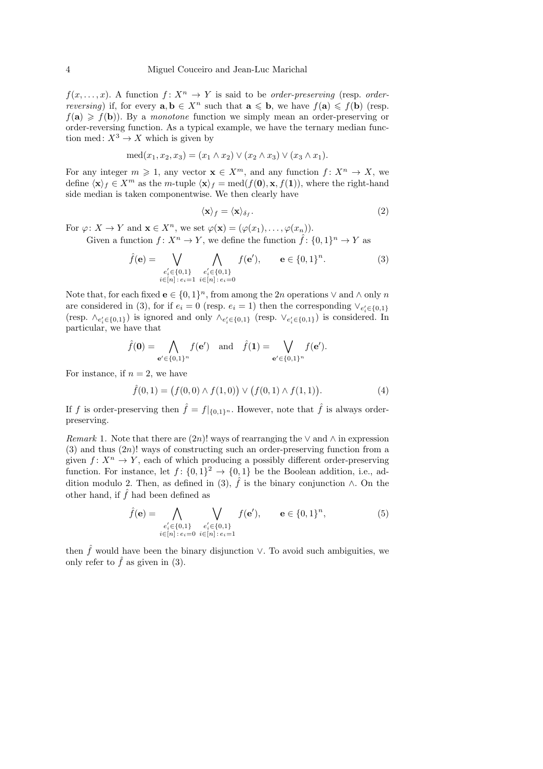$f(x, \ldots, x)$ . A function  $f: X^n \to Y$  is said to be order-preserving (resp. order*reversing*) if, for every  $\mathbf{a}, \mathbf{b} \in X^n$  such that  $\mathbf{a} \leq \mathbf{b}$ , we have  $f(\mathbf{a}) \leq f(\mathbf{b})$  (resp.  $f(\mathbf{a}) \geq f(\mathbf{b})$ . By a monotone function we simply mean an order-preserving or order-reversing function. As a typical example, we have the ternary median function med:  $X^3 \to X$  which is given by

$$
med(x_1, x_2, x_3) = (x_1 \wedge x_2) \vee (x_2 \wedge x_3) \vee (x_3 \wedge x_1).
$$

For any integer  $m \geq 1$ , any vector  $\mathbf{x} \in X^m$ , and any function  $f: X^n \to X$ , we define  $\langle x \rangle_f \in X^m$  as the m-tuple  $\langle x \rangle_f = \text{med}(f(0), x, f(1))$ , where the right-hand side median is taken componentwise. We then clearly have

$$
\langle \mathbf{x} \rangle_f = \langle \mathbf{x} \rangle_{\delta_f}.\tag{2}
$$

For  $\varphi: X \to Y$  and  $\mathbf{x} \in X^n$ , we set  $\varphi(\mathbf{x}) = (\varphi(x_1), \ldots, \varphi(x_n)).$ 

Given a function  $f: X^n \to Y$ , we define the function  $\hat{f}: \{0,1\}^n \to Y$  as

$$
\hat{f}(\mathbf{e}) = \bigvee_{\substack{e'_i \in \{0,1\} \\ i \in [n] : e_i = 1}} \bigwedge_{\substack{e'_i \in \{0,1\} \\ i \in [n] : e_i = 0}} f(\mathbf{e}'), \qquad \mathbf{e} \in \{0,1\}^n.
$$
\n(3)

Note that, for each fixed  $e \in \{0,1\}^n$ , from among the 2n operations  $\vee$  and  $\wedge$  only n are considered in (3), for if  $e_i = 0$  (resp.  $e_i = 1$ ) then the corresponding  $\vee e_i \in \{0,1\}$ (resp.  $\wedge_{e'_i \in \{0,1\}}$ ) is ignored and only  $\wedge_{e'_i \in \{0,1\}}$  (resp.  $\vee_{e'_i \in \{0,1\}}$ ) is considered. In particular, we have that

$$
\hat{f}(\mathbf{0}) = \bigwedge_{\mathbf{e}' \in \{0,1\}^n} f(\mathbf{e}') \quad \text{and} \quad \hat{f}(\mathbf{1}) = \bigvee_{\mathbf{e}' \in \{0,1\}^n} f(\mathbf{e}').
$$

For instance, if  $n = 2$ , we have

$$
\hat{f}(0,1) = (f(0,0) \land f(1,0)) \lor (f(0,1) \land f(1,1)). \tag{4}
$$

If f is order-preserving then  $\hat{f} = f|_{\{0,1\}^n}$ . However, note that  $\hat{f}$  is always orderpreserving.

Remark 1. Note that there are  $(2n)!$  ways of rearranging the  $\vee$  and  $\wedge$  in expression (3) and thus  $(2n)!$  ways of constructing such an order-preserving function from a given  $f: X^n \to Y$ , each of which producing a possibly different order-preserving function. For instance, let  $f: \{0,1\}^2 \to \{0,1\}$  be the Boolean addition, i.e., addition modulo 2. Then, as defined in (3),  $\hat{f}$  is the binary conjunction ∧. On the other hand, if  $\hat{f}$  had been defined as

$$
\hat{f}(\mathbf{e}) = \bigwedge_{\substack{e'_i \in \{0,1\} \\ i \in [n]: e_i = 0}} \bigvee_{\substack{e'_i \in \{0,1\} \\ i \in [n]: e_i = 1}} f(\mathbf{e}'), \qquad \mathbf{e} \in \{0,1\}^n,
$$
\n(5)

then  $\hat{f}$  would have been the binary disjunction  $\vee$ . To avoid such ambiguities, we only refer to  $\hat{f}$  as given in (3).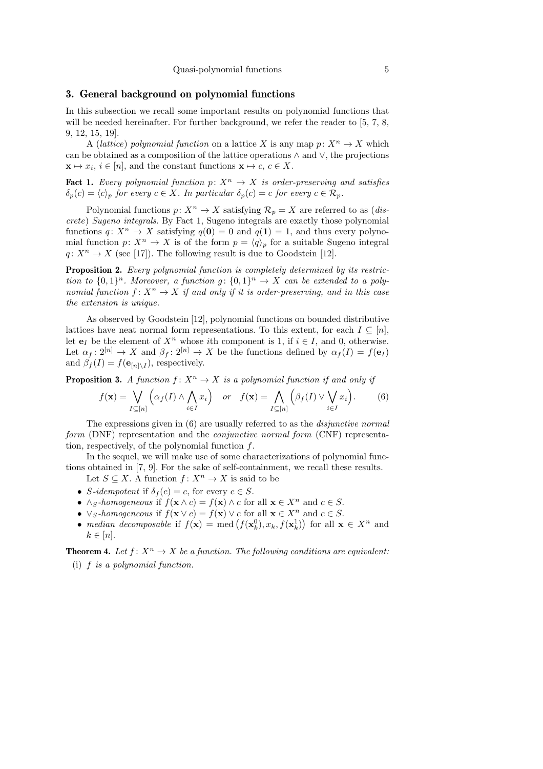## 3. General background on polynomial functions

In this subsection we recall some important results on polynomial functions that will be needed hereinafter. For further background, we refer the reader to [5, 7, 8, 9, 12, 15, 19].

A (lattice) polynomial function on a lattice X is any map  $p: X^n \to X$  which can be obtained as a composition of the lattice operations ∧ and ∨, the projections  $\mathbf{x} \mapsto x_i, i \in [n]$ , and the constant functions  $\mathbf{x} \mapsto c, c \in X$ .

**Fact 1.** Every polynomial function  $p: X^n \to X$  is order-preserving and satisfies  $\delta_p(c) = \langle c \rangle_p$  for every  $c \in X$ . In particular  $\delta_p(c) = c$  for every  $c \in \mathcal{R}_p$ .

Polynomial functions  $p: X^n \to X$  satisfying  $\mathcal{R}_p = X$  are referred to as (*dis*crete) Sugeno integrals. By Fact 1, Sugeno integrals are exactly those polynomial functions  $q: X^n \to X$  satisfying  $q(\mathbf{0}) = 0$  and  $q(\mathbf{1}) = 1$ , and thus every polynomial function  $p: X^n \to X$  is of the form  $p = \langle q \rangle_p$  for a suitable Sugeno integral  $q: X^n \to X$  (see [17]). The following result is due to Goodstein [12].

Proposition 2. Every polynomial function is completely determined by its restriction to  $\{0,1\}^n$ . Moreover, a function  $g: \{0,1\}^n \to X$  can be extended to a polynomial function  $f: X^n \to X$  if and only if it is order-preserving, and in this case the extension is unique.

As observed by Goodstein [12], polynomial functions on bounded distributive lattices have neat normal form representations. To this extent, for each  $I \subseteq [n]$ , let  $e_I$  be the element of  $X^n$  whose *i*th component is 1, if  $i \in I$ , and 0, otherwise. Let  $\alpha_f : 2^{[n]} \to X$  and  $\beta_f : 2^{[n]} \to X$  be the functions defined by  $\alpha_f(I) = f(e_I)$ and  $\beta_f(I) = f(\mathbf{e}_{[n]\setminus I})$ , respectively.

**Proposition 3.** A function  $f: X^n \to X$  is a polynomial function if and only if

$$
f(\mathbf{x}) = \bigvee_{I \subseteq [n]} \left( \alpha_f(I) \wedge \bigwedge_{i \in I} x_i \right) \quad \text{or} \quad f(\mathbf{x}) = \bigwedge_{I \subseteq [n]} \left( \beta_f(I) \vee \bigvee_{i \in I} x_i \right). \tag{6}
$$

The expressions given in  $(6)$  are usually referred to as the *disjunctive normal* form (DNF) representation and the *conjunctive normal form* (CNF) representation, respectively, of the polynomial function f.

In the sequel, we will make use of some characterizations of polynomial functions obtained in [7, 9]. For the sake of self-containment, we recall these results.

- Let  $S \subseteq X$ . A function  $f: X^n \to X$  is said to be
- S-idempotent if  $\delta_f(c) = c$ , for every  $c \in S$ .
- $\wedge_S\text{-}homogeneous$  if  $f(\mathbf{x} \wedge c) = f(\mathbf{x}) \wedge c$  for all  $\mathbf{x} \in X^n$  and  $c \in S$ .
- $\vee_S\text{-}homogeneous$  if  $f(\mathbf{x} \vee c) = f(\mathbf{x}) \vee c$  for all  $\mathbf{x} \in X^n$  and  $c \in S$ .
- $\vee_S$ -homogeneous if  $f(\mathbf{x}) \vee f(\mathbf{x}_k) \vee f(\mathbf{x}_k)$  and  $\mathbf{x} \in \mathcal{S}$ .<br>• median decomposable if  $f(\mathbf{x}) = \text{med}(f(\mathbf{x}_k^0), x_k, f(\mathbf{x}_k^1))$  for all  $\mathbf{x} \in X^n$  and  $k \in [n]$ .

**Theorem 4.** Let  $f: X^n \to X$  be a function. The following conditions are equivalent: (i) f is a polynomial function.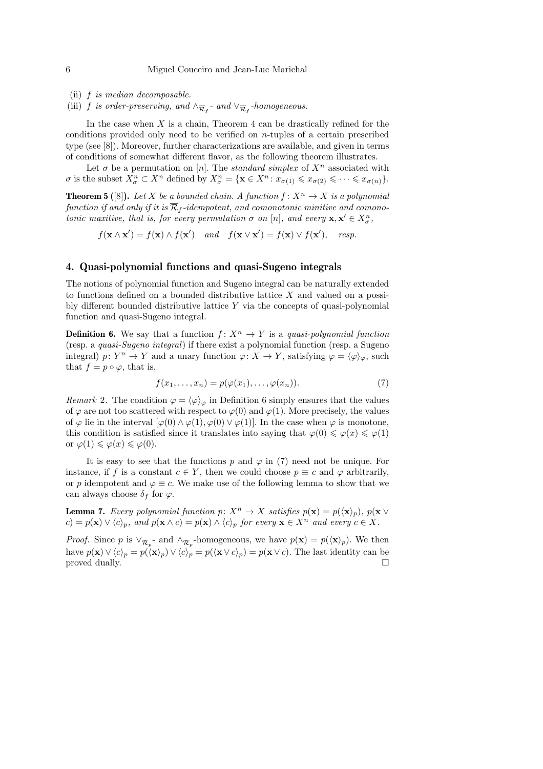#### 6 Miguel Couceiro and Jean-Luc Marichal

- (ii) f is median decomposable.
- (iii) f is order-preserving, and  $\wedge_{\overline{\mathcal{R}}_f}$  and  $\vee_{\overline{\mathcal{R}}_f}$ -homogeneous.

In the case when  $X$  is a chain, Theorem 4 can be drastically refined for the conditions provided only need to be verified on n-tuples of a certain prescribed type (see [8]). Moreover, further characterizations are available, and given in terms of conditions of somewhat different flavor, as the following theorem illustrates.

Let  $\sigma$  be a permutation on [n]. The *standard simplex* of  $X^n$  associated with  $\sigma$  is the subset  $X_{\sigma}^n \subset X^n$  defined by  $X_{\sigma}^n = \{ \mathbf{x} \in X^n : x_{\sigma(1)} \leq x_{\sigma(2)} \leq \cdots \leq x_{\sigma(n)} \}.$ 

**Theorem 5** ([8]). Let X be a bounded chain. A function  $f: X^n \to X$  is a polynomial function if and only if it is  $\overline{\mathcal{R}}_f$ -idempotent, and comonotonic minitive and comonotonic maxitive, that is, for every permutation  $\sigma$  on [n], and every  $\mathbf{x}, \mathbf{x}' \in X^n_{\sigma}$ ,

 $f(\mathbf{x} \wedge \mathbf{x}') = f(\mathbf{x}) \wedge f(\mathbf{x}')$  and  $f(\mathbf{x} \vee \mathbf{x}') = f(\mathbf{x}) \vee f(\mathbf{x}'),$  resp.

# 4. Quasi-polynomial functions and quasi-Sugeno integrals

The notions of polynomial function and Sugeno integral can be naturally extended to functions defined on a bounded distributive lattice  $X$  and valued on a possibly different bounded distributive lattice  $Y$  via the concepts of quasi-polynomial function and quasi-Sugeno integral.

**Definition 6.** We say that a function  $f: X^n \to Y$  is a quasi-polynomial function (resp. a quasi-Sugeno integral) if there exist a polynomial function (resp. a Sugeno integral)  $p: Y^n \to Y$  and a unary function  $\varphi: X \to Y$ , satisfying  $\varphi = \langle \varphi \rangle_{\varphi}$ , such that  $f = p \circ \varphi$ , that is,

$$
f(x_1, \ldots, x_n) = p(\varphi(x_1), \ldots, \varphi(x_n)).
$$
\n<sup>(7)</sup>

Remark 2. The condition  $\varphi = \langle \varphi \rangle_{\varphi}$  in Definition 6 simply ensures that the values of  $\varphi$  are not too scattered with respect to  $\varphi(0)$  and  $\varphi(1)$ . More precisely, the values of  $\varphi$  lie in the interval  $[\varphi(0) \wedge \varphi(1), \varphi(0) \vee \varphi(1)]$ . In the case when  $\varphi$  is monotone, this condition is satisfied since it translates into saying that  $\varphi(0) \leq \varphi(x) \leq \varphi(1)$ or  $\varphi(1) \leq \varphi(x) \leq \varphi(0)$ .

It is easy to see that the functions p and  $\varphi$  in (7) need not be unique. For instance, if f is a constant  $c \in Y$ , then we could choose  $p \equiv c$  and  $\varphi$  arbitrarily, or p idempotent and  $\varphi \equiv c$ . We make use of the following lemma to show that we can always choose  $\delta_f$  for  $\varphi$ .

**Lemma 7.** Every polynomial function  $p: X^n \to X$  satisfies  $p(\mathbf{x}) = p(\langle \mathbf{x} \rangle_p)$ ,  $p(\mathbf{x} \vee \mathbf{z})$  $c) = p(\mathbf{x}) \vee \langle c \rangle_p$ , and  $p(\mathbf{x} \wedge c) = p(\mathbf{x}) \wedge \langle c \rangle_p$  for every  $\mathbf{x} \in X^n$  and every  $c \in X$ .

*Proof.* Since p is  $\vee_{\overline{\mathcal{R}}_p}$ - and  $\wedge_{\overline{\mathcal{R}}_p}$ -homogeneous, we have  $p(\mathbf{x}) = p(\langle \mathbf{x} \rangle_p)$ . We then have  $p(\mathbf{x}) \vee \langle c \rangle_p = p(\langle \mathbf{x} \rangle_p) \vee \langle c \rangle_p = p(\langle \mathbf{x} \vee c \rangle_p) = p(\mathbf{x} \vee c)$ . The last identity can be proved dually.  $\Box$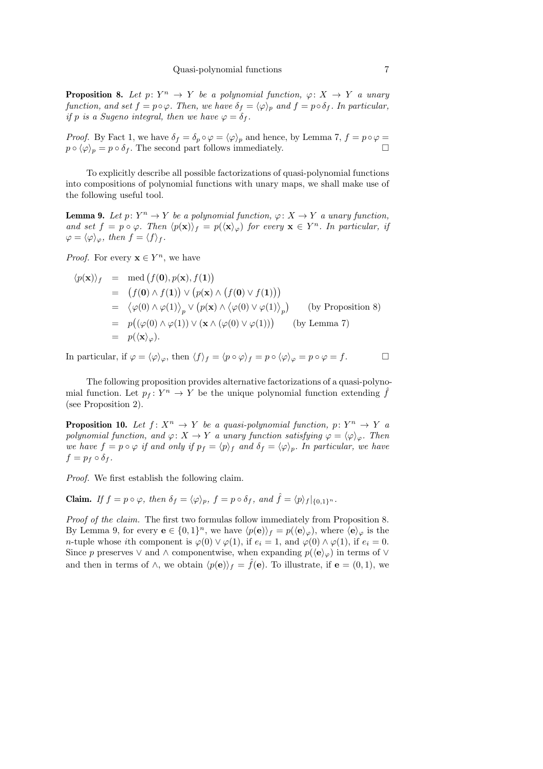**Proposition 8.** Let  $p: Y^n \to Y$  be a polynomial function,  $\varphi: X \to Y$  a unary function, and set  $f = p \circ \varphi$ . Then, we have  $\delta_f = \langle \varphi \rangle_p$  and  $f = p \circ \delta_f$ . In particular, if p is a Sugeno integral, then we have  $\varphi = \delta_f$ .

*Proof.* By Fact 1, we have  $\delta_f = \delta_p \circ \varphi = \langle \varphi \rangle_p$  and hence, by Lemma 7,  $f = p \circ \varphi =$  $p \circ (\varphi)_p = p \circ \delta_f$ . The second part follows immediately.

To explicitly describe all possible factorizations of quasi-polynomial functions into compositions of polynomial functions with unary maps, we shall make use of the following useful tool.

**Lemma 9.** Let  $p: Y^n \to Y$  be a polynomial function,  $\varphi: X \to Y$  a unary function, and set  $f = p \circ \varphi$ . Then  $\langle p(\mathbf{x}) \rangle_f = p(\langle \mathbf{x} \rangle_{\varphi})$  for every  $\mathbf{x} \in Y^n$ . In particular, if  $\varphi = \langle \varphi \rangle_{\varphi}, \text{ then } f = \langle f \rangle_{f}.$ 

*Proof.* For every  $\mathbf{x} \in Y^n$ , we have

$$
\langle p(\mathbf{x}) \rangle_f = \text{med} (f(\mathbf{0}), p(\mathbf{x}), f(\mathbf{1}))
$$
  
\n
$$
= (f(\mathbf{0}) \land f(\mathbf{1})) \lor (p(\mathbf{x}) \land (f(\mathbf{0}) \lor f(\mathbf{1})))
$$
  
\n
$$
= \langle \varphi(0) \land \varphi(1) \rangle_p \lor (p(\mathbf{x}) \land \langle \varphi(0) \lor \varphi(1) \rangle_p) \qquad \text{(by Proposition 8)}
$$
  
\n
$$
= p((\varphi(0) \land \varphi(1)) \lor (\mathbf{x} \land (\varphi(0) \lor \varphi(1))) \qquad \text{(by Lemma 7)}
$$
  
\n
$$
= p((\mathbf{x})_{\varphi}).
$$

In particular, if  $\varphi = \langle \varphi \rangle_{\varphi}$ , then  $\langle f \rangle_f = \langle p \circ \varphi \rangle_f = p \circ \langle \varphi \rangle_{\varphi} = p \circ \varphi = f.$ 

The following proposition provides alternative factorizations of a quasi-polynomial function. Let  $p_f: Y^n \to Y$  be the unique polynomial function extending  $\hat{f}$ (see Proposition 2).

**Proposition 10.** Let  $f: X^n \to Y$  be a quasi-polynomial function,  $p: Y^n \to Y$  a polynomial function, and  $\varphi: X \to Y$  a unary function satisfying  $\varphi = \langle \varphi \rangle_{\varphi}$ . Then we have  $f = p \circ \varphi$  if and only if  $p_f = \langle p \rangle_f$  and  $\delta_f = \langle \varphi \rangle_p$ . In particular, we have  $f = p_f \circ \delta_f$ .

Proof. We first establish the following claim.

**Claim.** If  $f = p \circ \varphi$ , then  $\delta_f = \langle \varphi \rangle_p$ ,  $f = p \circ \delta_f$ , and  $\hat{f} = \langle p \rangle_f |_{\{0,1\}^n}$ .

Proof of the claim. The first two formulas follow immediately from Proposition 8. By Lemma 9, for every  $e \in \{0,1\}^n$ , we have  $\langle p(e) \rangle_f = p(\langle e \rangle_{\varphi})$ , where  $\langle e \rangle_{\varphi}$  is the n-tuple whose ith component is  $\varphi(0) \vee \varphi(1)$ , if  $e_i = 1$ , and  $\varphi(0) \wedge \varphi(1)$ , if  $e_i = 0$ . Since p preserves  $\vee$  and  $\wedge$  componentwise, when expanding  $p(\langle \mathbf{e} \rangle_{\varphi})$  in terms of  $\vee$ and then in terms of  $\wedge$ , we obtain  $\langle p(\mathbf{e})\rangle_f = \hat{f}(\mathbf{e})$ . To illustrate, if  $\mathbf{e} = (0,1)$ , we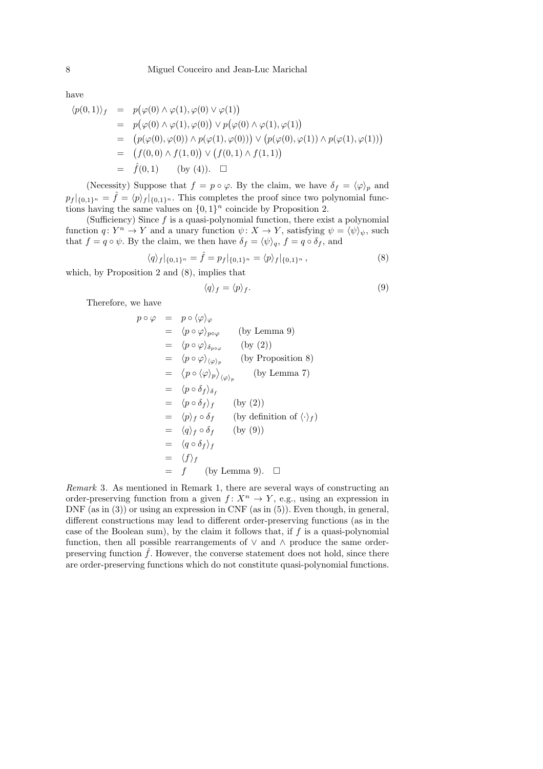have

$$
\langle p(0,1) \rangle_f = p(\varphi(0) \land \varphi(1), \varphi(0) \lor \varphi(1))
$$
  
\n
$$
= p(\varphi(0) \land \varphi(1), \varphi(0)) \lor p(\varphi(0) \land \varphi(1), \varphi(1))
$$
  
\n
$$
= (p(\varphi(0), \varphi(0)) \land p(\varphi(1), \varphi(0))) \lor (p(\varphi(0), \varphi(1)) \land p(\varphi(1), \varphi(1)))
$$
  
\n
$$
= (f(0,0) \land f(1,0)) \lor (f(0,1) \land f(1,1))
$$
  
\n
$$
= \hat{f}(0,1) \qquad \text{(by (4)). } \square
$$

(Necessity) Suppose that  $f = p \circ \varphi$ . By the claim, we have  $\delta_f = {\varphi}_p$  and  $p_f |_{\{0,1\}^n} = \hat{f} = \langle p \rangle_f |_{\{0,1\}^n}$ . This completes the proof since two polynomial functions having the same values on  $\{0,1\}^n$  coincide by Proposition 2.

(Sufficiency) Since  $f$  is a quasi-polynomial function, there exist a polynomial function  $q: Y^n \to Y$  and a unary function  $\psi: X \to Y$ , satisfying  $\psi = \langle \psi \rangle_{\psi}$ , such that  $f = q \circ \psi$ . By the claim, we then have  $\delta_f = \langle \psi \rangle_q$ ,  $f = q \circ \delta_f$ , and

$$
\langle q \rangle_f |_{\{0,1\}^n} = \hat{f} = p_f |_{\{0,1\}^n} = \langle p \rangle_f |_{\{0,1\}^n}, \tag{8}
$$

which, by Proposition 2 and (8), implies that

$$
\langle q \rangle_f = \langle p \rangle_f. \tag{9}
$$

Therefore, we have

$$
p \circ \varphi = p \circ \langle \varphi \rangle_{\varphi}
$$
  
\n
$$
= \langle p \circ \varphi \rangle_{p \circ \varphi}
$$
 (by Lemma 9)  
\n
$$
= \langle p \circ \varphi \rangle_{\delta_{p \circ \varphi}}
$$
 (by (2))  
\n
$$
= \langle p \circ \varphi \rangle_{\langle \varphi \rangle_p}
$$
 (by Proposition 8)  
\n
$$
= \langle p \circ \langle \varphi \rangle_p \rangle_{\langle \varphi \rangle_p}
$$
 (by Lemma 7)  
\n
$$
= \langle p \circ \delta_f \rangle_{\delta_f}
$$
  
\n
$$
= \langle p \circ \delta_f \rangle_f
$$
 (by (2))  
\n
$$
= \langle p \rangle_f \circ \delta_f
$$
 (by definition of  $\langle \cdot \rangle_f$ )  
\n
$$
= \langle q \rangle_f \circ \delta_f
$$
 (by (9))  
\n
$$
= \langle q \circ \delta_f \rangle_f
$$
  
\n
$$
= \langle f \rangle_f
$$
  
\n
$$
= f
$$
 (by Lemma 9).  $\Box$ 

Remark 3. As mentioned in Remark 1, there are several ways of constructing an order-preserving function from a given  $f: X^n \to Y$ , e.g., using an expression in DNF (as in (3)) or using an expression in CNF (as in (5)). Even though, in general, different constructions may lead to different order-preserving functions (as in the case of the Boolean sum), by the claim it follows that, if  $f$  is a quasi-polynomial function, then all possible rearrangements of  $\vee$  and  $\wedge$  produce the same orderpreserving function  $\hat{f}$ . However, the converse statement does not hold, since there are order-preserving functions which do not constitute quasi-polynomial functions.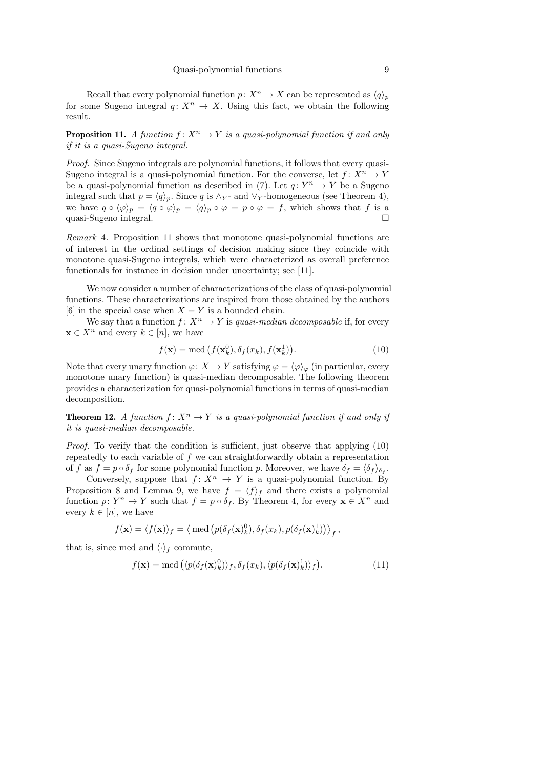Recall that every polynomial function  $p: X^n \to X$  can be represented as  $\langle q \rangle_p$ for some Sugeno integral  $q: X^n \to X$ . Using this fact, we obtain the following result.

**Proposition 11.** A function  $f: X^n \to Y$  is a quasi-polynomial function if and only if it is a quasi-Sugeno integral.

Proof. Since Sugeno integrals are polynomial functions, it follows that every quasi-Sugeno integral is a quasi-polynomial function. For the converse, let  $f: X^n \to Y$ be a quasi-polynomial function as described in (7). Let  $q: Y^n \to Y$  be a Sugeno integral such that  $p = \langle q \rangle_p$ . Since q is ∧y- and ∨y-homogeneous (see Theorem 4), we have  $q \circ \langle \varphi \rangle_p = \langle q \circ \varphi \rangle_p = \langle q \rangle_p \circ \varphi = p \circ \varphi = f$ , which shows that f is a quasi-Sugeno integral. ¤

Remark 4. Proposition 11 shows that monotone quasi-polynomial functions are of interest in the ordinal settings of decision making since they coincide with monotone quasi-Sugeno integrals, which were characterized as overall preference functionals for instance in decision under uncertainty; see [11].

We now consider a number of characterizations of the class of quasi-polynomial functions. These characterizations are inspired from those obtained by the authors [6] in the special case when  $X = Y$  is a bounded chain.

We say that a function  $f: X^n \to Y$  is quasi-median decomposable if, for every  $\mathbf{x} \in X^n$  and every  $k \in [n]$ , we have

$$
f(\mathbf{x}) = \text{med}\left(f(\mathbf{x}_k^0), \delta_f(x_k), f(\mathbf{x}_k^1)\right). \tag{10}
$$

Note that every unary function  $\varphi: X \to Y$  satisfying  $\varphi = \langle \varphi \rangle_{\varphi}$  (in particular, every monotone unary function) is quasi-median decomposable. The following theorem provides a characterization for quasi-polynomial functions in terms of quasi-median decomposition.

**Theorem 12.** A function  $f: X^n \to Y$  is a quasi-polynomial function if and only if it is quasi-median decomposable.

Proof. To verify that the condition is sufficient, just observe that applying (10) repeatedly to each variable of  $f$  we can straightforwardly obtain a representation of f as  $f = p \circ \delta_f$  for some polynomial function p. Moreover, we have  $\delta_f = \langle \delta_f \rangle_{\delta_f}$ .

Conversely, suppose that  $f: X^n \to Y$  is a quasi-polynomial function. By Proposition 8 and Lemma 9, we have  $f = \langle f \rangle_f$  and there exists a polynomial function  $p: Y^n \to Y$  such that  $f = p \circ \delta_f$ . By Theorem 4, for every  $\mathbf{x} \in X^n$  and every  $k \in [n]$ , we have

$$
f(\mathbf{x}) = \langle f(\mathbf{x}) \rangle_f = \langle \text{ med } (p(\delta_f(\mathbf{x})_k^0), \delta_f(x_k), p(\delta_f(\mathbf{x})_k^1)) \rangle_f,
$$

that is, since med and  $\langle \cdot \rangle_f$  commute,

$$
f(\mathbf{x}) = \text{med}\left(\langle p(\delta_f(\mathbf{x})_k^0) \rangle_f, \delta_f(x_k), \langle p(\delta_f(\mathbf{x})_k^1) \rangle_f\right).
$$
 (11)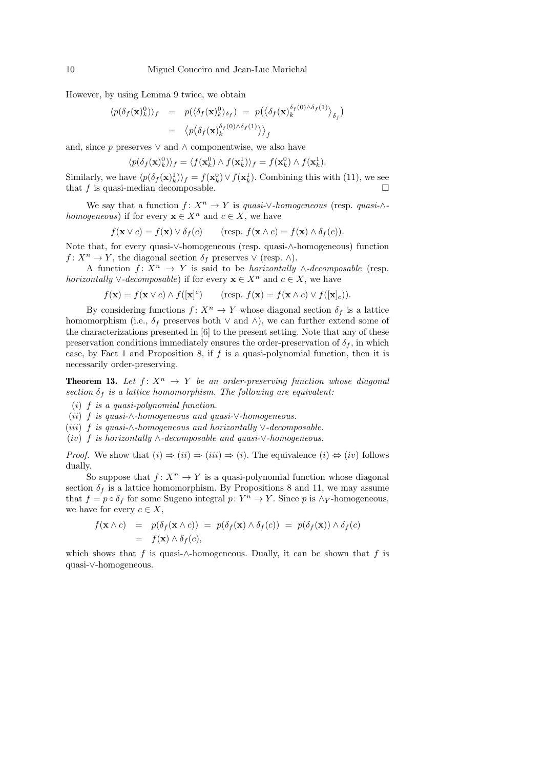However, by using Lemma 9 twice, we obtain

$$
\langle p(\delta_f(\mathbf{x})_k^0) \rangle_f = p(\langle \delta_f(\mathbf{x})_k^0 \rangle_{\delta_f}) = p(\langle \delta_f(\mathbf{x})_k^{\delta_f(0) \wedge \delta_f(1)} \rangle_{\delta_f})
$$
  
=  $\langle p(\delta_f(\mathbf{x})_k^{\delta_f(0) \wedge \delta_f(1)}) \rangle_f$ 

and, since p preserves  $\vee$  and  $\wedge$  componentwise, we also have

$$
\langle p(\delta_f(\mathbf{x})_k^0) \rangle_f = \langle f(\mathbf{x}_k^0) \wedge f(\mathbf{x}_k^1) \rangle_f = f(\mathbf{x}_k^0) \wedge f(\mathbf{x}_k^1).
$$

Similarly, we have  $\langle p(\delta_f(\mathbf{x})_k^1) \rangle_f = f(\mathbf{x}_k^0) \vee f(\mathbf{x}_k^1)$ . Combining this with (11), we see that  $f$  is quasi-median decomposable.  $\Box$ 

We say that a function  $f: X^n \to Y$  is quasi-∨-homogeneous (resp. quasi-∧*homogeneous*) if for every  $\mathbf{x} \in X^n$  and  $c \in X$ , we have

$$
f(\mathbf{x} \vee c) = f(\mathbf{x}) \vee \delta_f(c)
$$
 (resp.  $f(\mathbf{x} \wedge c) = f(\mathbf{x}) \wedge \delta_f(c)$ ).

Note that, for every quasi-∨-homogeneous (resp. quasi-∧-homogeneous) function  $f: X^n \to Y$ , the diagonal section  $\delta_f$  preserves  $\vee$  (resp.  $\wedge$ ).

A function  $f: X^n \to Y$  is said to be *horizontally* ∧-*decomposable* (resp. horizontally  $\vee$ -decomposable) if for every  $\mathbf{x} \in X^n$  and  $c \in X$ , we have

$$
f(\mathbf{x}) = f(\mathbf{x} \vee c) \wedge f([\mathbf{x}]^c) \qquad (\text{resp. } f(\mathbf{x}) = f(\mathbf{x} \wedge c) \vee f([\mathbf{x}]_c)).
$$

By considering functions  $f: X^n \to Y$  whose diagonal section  $\delta_f$  is a lattice homomorphism (i.e.,  $\delta_f$  preserves both  $\vee$  and  $\wedge$ ), we can further extend some of the characterizations presented in [6] to the present setting. Note that any of these preservation conditions immediately ensures the order-preservation of  $\delta_f$ , in which case, by Fact 1 and Proposition 8, if  $f$  is a quasi-polynomial function, then it is necessarily order-preserving.

**Theorem 13.** Let  $f: X^n \to Y$  be an order-preserving function whose diagonal section  $\delta_f$  is a lattice homomorphism. The following are equivalent:

- $(i)$  f is a quasi-polynomial function.
- (ii) f is quasi-∧-homogeneous and quasi-∨-homogeneous.
- (iii) f is quasi-∧-homogeneous and horizontally  $\vee$ -decomposable.
- $(iv)$  f is horizontally ∧-decomposable and quasi- $\vee$ -homogeneous.

*Proof.* We show that  $(i) \Rightarrow (ii) \Rightarrow (iii) \Rightarrow (i)$ . The equivalence  $(i) \Leftrightarrow (iv)$  follows dually.

So suppose that  $f: X^n \to Y$  is a quasi-polynomial function whose diagonal section  $\delta_f$  is a lattice homomorphism. By Propositions 8 and 11, we may assume that  $f = p \circ \delta_f$  for some Sugeno integral  $p: Y^n \to Y$ . Since p is ∧y-homogeneous, we have for every  $c \in X$ ,

$$
f(\mathbf{x} \wedge c) = p(\delta_f(\mathbf{x} \wedge c)) = p(\delta_f(\mathbf{x}) \wedge \delta_f(c)) = p(\delta_f(\mathbf{x})) \wedge \delta_f(c)
$$
  
=  $f(\mathbf{x}) \wedge \delta_f(c)$ ,

which shows that f is quasi-∧-homogeneous. Dually, it can be shown that f is quasi-∨-homogeneous.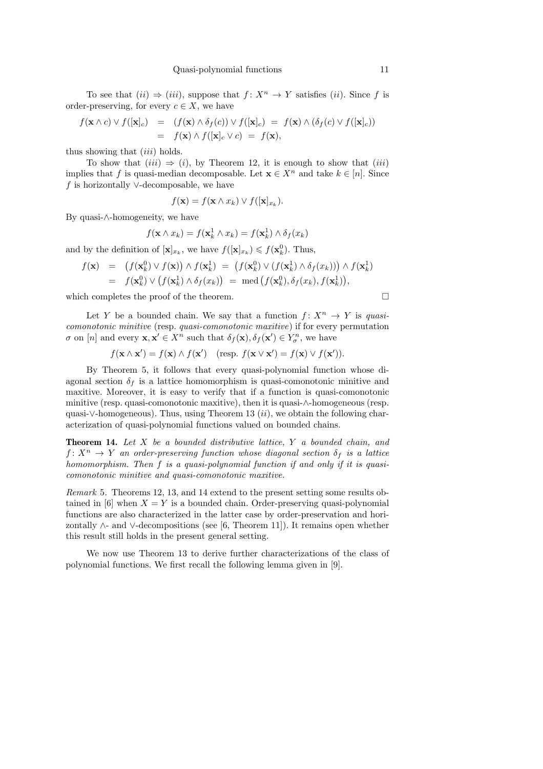To see that  $(ii) \Rightarrow (iii)$ , suppose that  $f: X^n \to Y$  satisfies  $(ii)$ . Since f is order-preserving, for every  $c \in X$ , we have

$$
f(\mathbf{x} \wedge c) \vee f([\mathbf{x}]_c) = (f(\mathbf{x}) \wedge \delta_f(c)) \vee f([\mathbf{x}]_c) = f(\mathbf{x}) \wedge (\delta_f(c) \vee f([\mathbf{x}]_c))
$$
  
=  $f(\mathbf{x}) \wedge f([\mathbf{x}]_c \vee c) = f(\mathbf{x}),$ 

thus showing that *(iii)* holds.

To show that  $(iii) \Rightarrow (i)$ , by Theorem 12, it is enough to show that  $(iii)$ implies that f is quasi-median decomposable. Let  $\mathbf{x} \in X^n$  and take  $k \in [n]$ . Since f is horizontally ∨-decomposable, we have

$$
f(\mathbf{x}) = f(\mathbf{x} \wedge x_k) \vee f([\mathbf{x}]_{x_k}).
$$

By quasi-∧-homogeneity, we have

$$
f(\mathbf{x} \wedge x_k) = f(\mathbf{x}_k^1 \wedge x_k) = f(\mathbf{x}_k^1) \wedge \delta_f(x_k)
$$

and by the definition of  $[\mathbf{x}]_{x_k}$ , we have  $f([\mathbf{x}]_{x_k}) \leqslant f(\mathbf{x}_k^0)$ . Thus,

$$
f(\mathbf{x}) = (f(\mathbf{x}_k^0) \vee f(\mathbf{x})) \wedge f(\mathbf{x}_k^1) = (f(\mathbf{x}_k^0) \vee (f(\mathbf{x}_k^1) \wedge \delta_f(x_k))) \wedge f(\mathbf{x}_k^1)
$$
  
=  $f(\mathbf{x}_k^0) \vee (f(\mathbf{x}_k^1) \wedge \delta_f(x_k)) = \text{med } (f(\mathbf{x}_k^0), \delta_f(x_k), f(\mathbf{x}_k^1)),$ 

which completes the proof of the theorem.  $\Box$ 

Let Y be a bounded chain. We say that a function  $f: X^n \to Y$  is quasicomonotonic minitive (resp. quasi-comonotonic maxitive) if for every permutation  $\sigma$  on [n] and every  $\mathbf{x}, \mathbf{x}' \in X^n$  such that  $\delta_f(\mathbf{x}), \delta_f(\mathbf{x}') \in Y^n_{\sigma}$ , we have

$$
f(\mathbf{x} \wedge \mathbf{x}') = f(\mathbf{x}) \wedge f(\mathbf{x}') \quad \text{(resp. } f(\mathbf{x} \vee \mathbf{x}') = f(\mathbf{x}) \vee f(\mathbf{x}')).
$$

By Theorem 5, it follows that every quasi-polynomial function whose diagonal section  $\delta_f$  is a lattice homomorphism is quasi-comonotonic minitive and maxitive. Moreover, it is easy to verify that if a function is quasi-comonotonic minitive (resp. quasi-comonotonic maxitive), then it is quasi-∧-homogeneous (resp. quasi-∨-homogeneous). Thus, using Theorem 13  $(ii)$ , we obtain the following characterization of quasi-polynomial functions valued on bounded chains.

**Theorem 14.** Let  $X$  be a bounded distributive lattice,  $Y$  a bounded chain, and  $f: X^n \to Y$  an order-preserving function whose diagonal section  $\delta_f$  is a lattice homomorphism. Then f is a quasi-polynomial function if and only if it is quasicomonotonic minitive and quasi-comonotonic maxitive.

Remark 5. Theorems 12, 13, and 14 extend to the present setting some results obtained in [6] when  $X = Y$  is a bounded chain. Order-preserving quasi-polynomial functions are also characterized in the latter case by order-preservation and horizontally  $\wedge$ - and  $\vee$ -decompositions (see [6, Theorem 11]). It remains open whether this result still holds in the present general setting.

We now use Theorem 13 to derive further characterizations of the class of polynomial functions. We first recall the following lemma given in [9].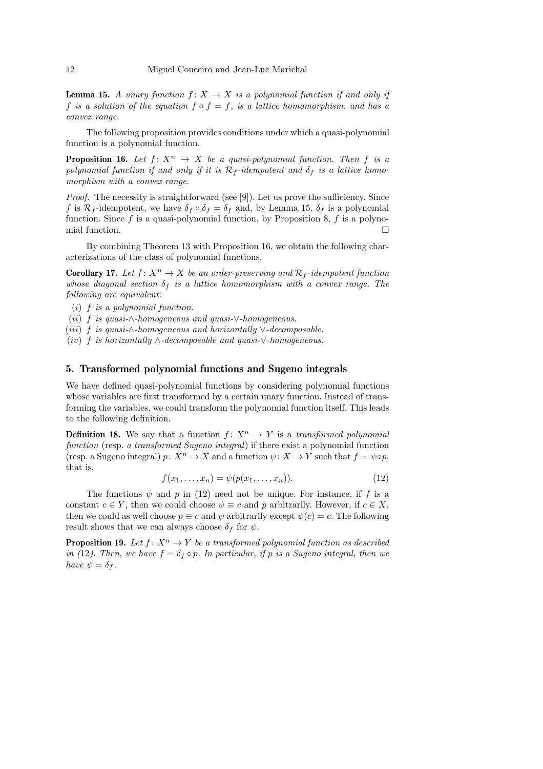**Lemma 15.** A unary function  $f: X \to X$  is a polynomial function if and only if f is a solution of the equation  $f \circ f = f$ , is a lattice homomorphism, and has a convex range.

The following proposition provides conditions under which a quasi-polynomial function is a polynomial function.

**Proposition 16.** Let  $f: X^n \to X$  be a quasi-polynomial function. Then f is a polynomial function if and only if it is  $\mathcal{R}_f$ -idempotent and  $\delta_f$  is a lattice homomorphism with a convex range.

*Proof.* The necessity is straightforward (see [9]). Let us prove the sufficiency. Since f is  $\mathcal{R}_f$ -idempotent, we have  $\delta_f \circ \delta_f = \delta_f$  and, by Lemma 15,  $\delta_f$  is a polynomial function. Since  $f$  is a quasi-polynomial function, by Proposition 8,  $f$  is a polynomial function.  $\Box$ 

By combining Theorem 13 with Proposition 16, we obtain the following characterizations of the class of polynomial functions.

**Corollary 17.** Let  $f: X^n \to X$  be an order-preserving and  $\mathcal{R}_f$ -idempotent function whose diagonal section  $\delta_f$  is a lattice homomorphism with a convex range. The following are equivalent:

- (i) f is a polynomial function.
- (ii) f is quasi-∧-homogeneous and quasi-∨-homogeneous.
- (iii) f is quasi-∧-homogeneous and horizontally  $\vee$ -decomposable.
- $(iv)$  f is horizontally ∧-decomposable and quasi- $\vee$ -homogeneous.

## 5. Transformed polynomial functions and Sugeno integrals

We have defined quasi-polynomial functions by considering polynomial functions whose variables are first transformed by a certain unary function. Instead of transforming the variables, we could transform the polynomial function itself. This leads to the following definition.

**Definition 18.** We say that a function  $f: X^n \to Y$  is a transformed polynomial function (resp. a transformed Sugeno integral) if there exist a polynomial function (resp. a Sugeno integral)  $p: X^n \to X$  and a function  $\psi: X \to Y$  such that  $f = \psi \circ p$ , that is,

$$
f(x_1, \ldots, x_n) = \psi(p(x_1, \ldots, x_n)).
$$
\n<sup>(12)</sup>

The functions  $\psi$  and p in (12) need not be unique. For instance, if f is a constant  $c \in Y$ , then we could choose  $\psi \equiv c$  and p arbitrarily. However, if  $c \in X$ , then we could as well choose  $p \equiv c$  and  $\psi$  arbitrarily except  $\psi(c) = c$ . The following result shows that we can always choose  $\delta_f$  for  $\psi$ .

**Proposition 19.** Let  $f: X^n \to Y$  be a transformed polynomial function as described in (12). Then, we have  $f = \delta_f \circ p$ . In particular, if p is a Sugeno integral, then we have  $\psi = \delta_f$ .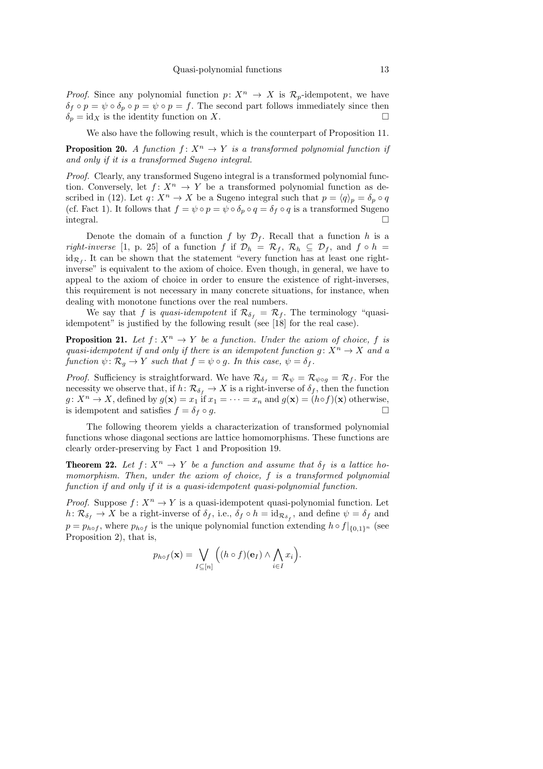*Proof.* Since any polynomial function  $p: X^n \to X$  is  $\mathcal{R}_p$ -idempotent, we have  $\delta_f \circ p = \psi \circ \delta_p \circ p = \psi \circ p = f$ . The second part follows immediately since then  $\delta_p = id_X$  is the identity function on X.

We also have the following result, which is the counterpart of Proposition 11.

**Proposition 20.** A function  $f: X^n \to Y$  is a transformed polynomial function if and only if it is a transformed Sugeno integral.

Proof. Clearly, any transformed Sugeno integral is a transformed polynomial function. Conversely, let  $f: X^n \to Y$  be a transformed polynomial function as described in (12). Let  $q: X^n \to X$  be a Sugeno integral such that  $p = \langle q \rangle_p = \delta_p \circ q$ (cf. Fact 1). It follows that  $f = \psi \circ p = \psi \circ \delta_p \circ q = \delta_f \circ q$  is a transformed Sugeno integral.  $\square$ 

Denote the domain of a function f by  $\mathcal{D}_f$ . Recall that a function h is a right-inverse [1, p. 25] of a function f if  $\mathcal{D}_h = \mathcal{R}_f$ ,  $\mathcal{R}_h \subseteq \mathcal{D}_f$ , and  $f \circ h =$  $id_{\mathcal{R}_f}$ . It can be shown that the statement "every function has at least one rightinverse" is equivalent to the axiom of choice. Even though, in general, we have to appeal to the axiom of choice in order to ensure the existence of right-inverses, this requirement is not necessary in many concrete situations, for instance, when dealing with monotone functions over the real numbers.

We say that f is quasi-idempotent if  $\mathcal{R}_{\delta_f} = \mathcal{R}_f$ . The terminology "quasiidempotent" is justified by the following result (see [18] for the real case).

**Proposition 21.** Let  $f: X^n \to Y$  be a function. Under the axiom of choice, f is quasi-idempotent if and only if there is an idempotent function  $g: X^n \to X$  and a function  $\psi \colon \mathcal{R}_g \to Y$  such that  $f = \psi \circ g$ . In this case,  $\psi = \delta_f$ .

*Proof.* Sufficiency is straightforward. We have  $\mathcal{R}_{\delta_f} = \mathcal{R}_{\psi} = \mathcal{R}_{\psi \circ g} = \mathcal{R}_f$ . For the necessity we observe that, if  $h: \mathcal{R}_{\delta_f} \to X$  is a right-inverse of  $\delta_f$ , then the function  $g: X^n \to X$ , defined by  $g(\mathbf{x}) = x_1$  if  $x_1 = \cdots = x_n$  and  $g(\mathbf{x}) = (h \circ f)(\mathbf{x})$  otherwise, is idempotent and satisfies  $f = \delta_f \circ g$ .

The following theorem yields a characterization of transformed polynomial functions whose diagonal sections are lattice homomorphisms. These functions are clearly order-preserving by Fact 1 and Proposition 19.

**Theorem 22.** Let  $f: X^n \to Y$  be a function and assume that  $\delta_f$  is a lattice homomorphism. Then, under the axiom of choice, f is a transformed polynomial function if and only if it is a quasi-idempotent quasi-polynomial function.

*Proof.* Suppose  $f: X^n \to Y$  is a quasi-idempotent quasi-polynomial function. Let  $h: \mathcal{R}_{\delta_f} \to X$  be a right-inverse of  $\delta_f$ , i.e.,  $\delta_f \circ h = \mathrm{id}_{\mathcal{R}_{\delta_f}}$ , and define  $\psi = \delta_f$  and  $p = p_{h \circ f}$ , where  $p_{h \circ f}$  is the unique polynomial function extending  $h \circ f|_{\{0,1\}^n}$  (see Proposition 2), that is,  $\overline{a}$ ´

$$
p_{h\circ f}(\mathbf{x}) = \bigvee_{I \subseteq [n]} \Big( (h \circ f)(\mathbf{e}_I) \wedge \bigwedge_{i \in I} x_i \Big).
$$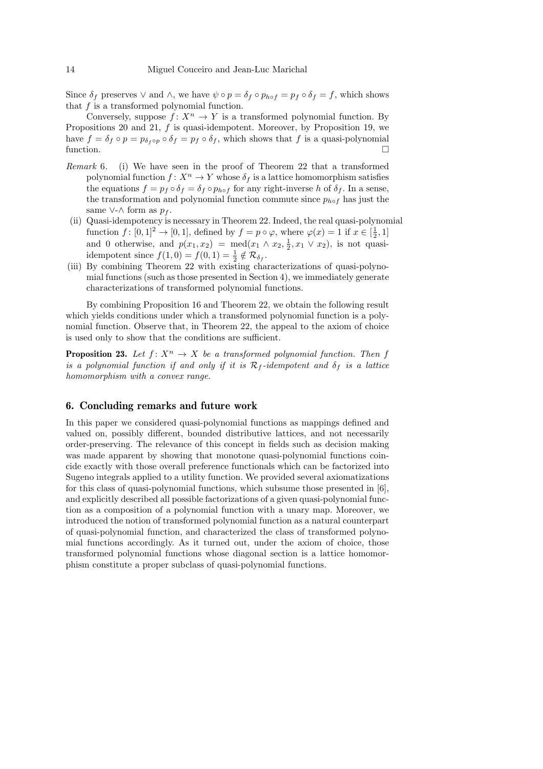Since  $\delta_f$  preserves  $\vee$  and  $\wedge$ , we have  $\psi \circ p = \delta_f \circ p_{h \circ f} = p_f \circ \delta_f = f$ , which shows that  $f$  is a transformed polynomial function.

Conversely, suppose  $f: X^n \to Y$  is a transformed polynomial function. By Propositions 20 and 21, f is quasi-idempotent. Moreover, by Proposition 19, we have  $f = \delta_f \circ p = p_{\delta_f \circ p} \circ \delta_f = p_f \circ \delta_f$ , which shows that f is a quasi-polynomial function.

- Remark 6. (i) We have seen in the proof of Theorem 22 that a transformed polynomial function  $f: X^n \to Y$  whose  $\delta_f$  is a lattice homomorphism satisfies the equations  $f = p_f \circ \delta_f = \delta_f \circ p_{h \circ f}$  for any right-inverse h of  $\delta_f$ . In a sense, the transformation and polynomial function commute since  $p_{h \circ f}$  has just the same ∨-∧ form as  $p_f$ .
- (ii) Quasi-idempotency is necessary in Theorem 22. Indeed, the real quasi-polynomial function  $f: [0,1]^2 \to [0,1]$ , defined by  $f = p \circ \varphi$ , where  $\varphi(x) = 1$  if  $x \in [\frac{1}{2},1]$ and 0 otherwise, and  $p(x_1, x_2) = \text{med}(x_1 \wedge x_2, \frac{1}{2}, x_1 \vee x_2)$ , is not quasiidempotent since  $f(1,0) = f(0,1) = \frac{1}{2} \notin \mathcal{R}_{\delta_f}$ .
- (iii) By combining Theorem 22 with existing characterizations of quasi-polynomial functions (such as those presented in Section 4), we immediately generate characterizations of transformed polynomial functions.

By combining Proposition 16 and Theorem 22, we obtain the following result which yields conditions under which a transformed polynomial function is a polynomial function. Observe that, in Theorem 22, the appeal to the axiom of choice is used only to show that the conditions are sufficient.

**Proposition 23.** Let  $f: X^n \to X$  be a transformed polynomial function. Then f is a polynomial function if and only if it is  $\mathcal{R}_f$ -idempotent and  $\delta_f$  is a lattice homomorphism with a convex range.

# 6. Concluding remarks and future work

In this paper we considered quasi-polynomial functions as mappings defined and valued on, possibly different, bounded distributive lattices, and not necessarily order-preserving. The relevance of this concept in fields such as decision making was made apparent by showing that monotone quasi-polynomial functions coincide exactly with those overall preference functionals which can be factorized into Sugeno integrals applied to a utility function. We provided several axiomatizations for this class of quasi-polynomial functions, which subsume those presented in [6], and explicitly described all possible factorizations of a given quasi-polynomial function as a composition of a polynomial function with a unary map. Moreover, we introduced the notion of transformed polynomial function as a natural counterpart of quasi-polynomial function, and characterized the class of transformed polynomial functions accordingly. As it turned out, under the axiom of choice, those transformed polynomial functions whose diagonal section is a lattice homomorphism constitute a proper subclass of quasi-polynomial functions.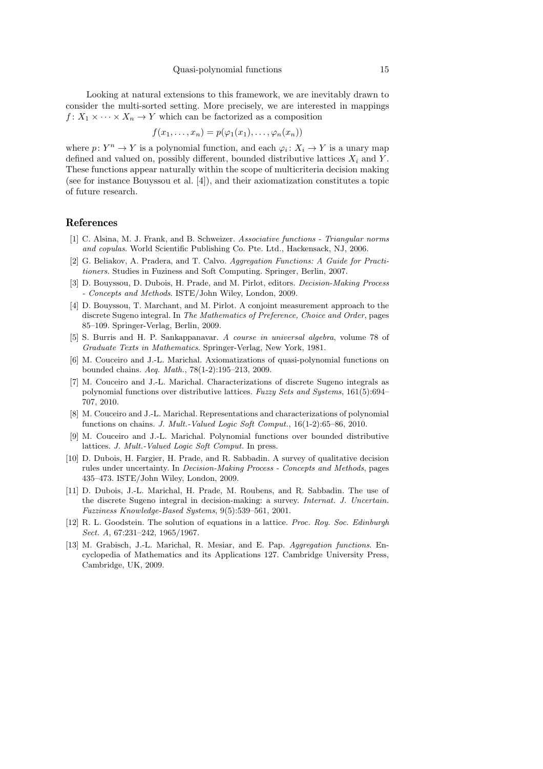Looking at natural extensions to this framework, we are inevitably drawn to consider the multi-sorted setting. More precisely, we are interested in mappings  $f: X_1 \times \cdots \times X_n \to Y$  which can be factorized as a composition

$$
f(x_1,\ldots,x_n)=p(\varphi_1(x_1),\ldots,\varphi_n(x_n))
$$

where  $p: Y^n \to Y$  is a polynomial function, and each  $\varphi_i: X_i \to Y$  is a unary map defined and valued on, possibly different, bounded distributive lattices  $X_i$  and Y. These functions appear naturally within the scope of multicriteria decision making (see for instance Bouyssou et al. [4]), and their axiomatization constitutes a topic of future research.

## References

- [1] C. Alsina, M. J. Frank, and B. Schweizer. Associative functions Triangular norms and copulas. World Scientific Publishing Co. Pte. Ltd., Hackensack, NJ, 2006.
- [2] G. Beliakov, A. Pradera, and T. Calvo. Aggregation Functions: A Guide for Practitioners. Studies in Fuziness and Soft Computing. Springer, Berlin, 2007.
- [3] D. Bouyssou, D. Dubois, H. Prade, and M. Pirlot, editors. Decision-Making Process - Concepts and Methods. ISTE/John Wiley, London, 2009.
- [4] D. Bouyssou, T. Marchant, and M. Pirlot. A conjoint measurement approach to the discrete Sugeno integral. In The Mathematics of Preference, Choice and Order, pages 85–109. Springer-Verlag, Berlin, 2009.
- [5] S. Burris and H. P. Sankappanavar. A course in universal algebra, volume 78 of Graduate Texts in Mathematics. Springer-Verlag, New York, 1981.
- [6] M. Couceiro and J.-L. Marichal. Axiomatizations of quasi-polynomial functions on bounded chains. Aeq. Math., 78(1-2):195–213, 2009.
- [7] M. Couceiro and J.-L. Marichal. Characterizations of discrete Sugeno integrals as polynomial functions over distributive lattices. Fuzzy Sets and Systems, 161(5):694– 707, 2010.
- [8] M. Couceiro and J.-L. Marichal. Representations and characterizations of polynomial functions on chains. J. Mult.-Valued Logic Soft Comput., 16(1-2):65–86, 2010.
- [9] M. Couceiro and J.-L. Marichal. Polynomial functions over bounded distributive lattices. J. Mult.-Valued Logic Soft Comput. In press.
- [10] D. Dubois, H. Fargier, H. Prade, and R. Sabbadin. A survey of qualitative decision rules under uncertainty. In Decision-Making Process - Concepts and Methods, pages 435–473. ISTE/John Wiley, London, 2009.
- [11] D. Dubois, J.-L. Marichal, H. Prade, M. Roubens, and R. Sabbadin. The use of the discrete Sugeno integral in decision-making: a survey. Internat. J. Uncertain. Fuzziness Knowledge-Based Systems, 9(5):539–561, 2001.
- [12] R. L. Goodstein. The solution of equations in a lattice. Proc. Roy. Soc. Edinburgh Sect. A, 67:231–242, 1965/1967.
- [13] M. Grabisch, J.-L. Marichal, R. Mesiar, and E. Pap. Aggregation functions. Encyclopedia of Mathematics and its Applications 127. Cambridge University Press, Cambridge, UK, 2009.